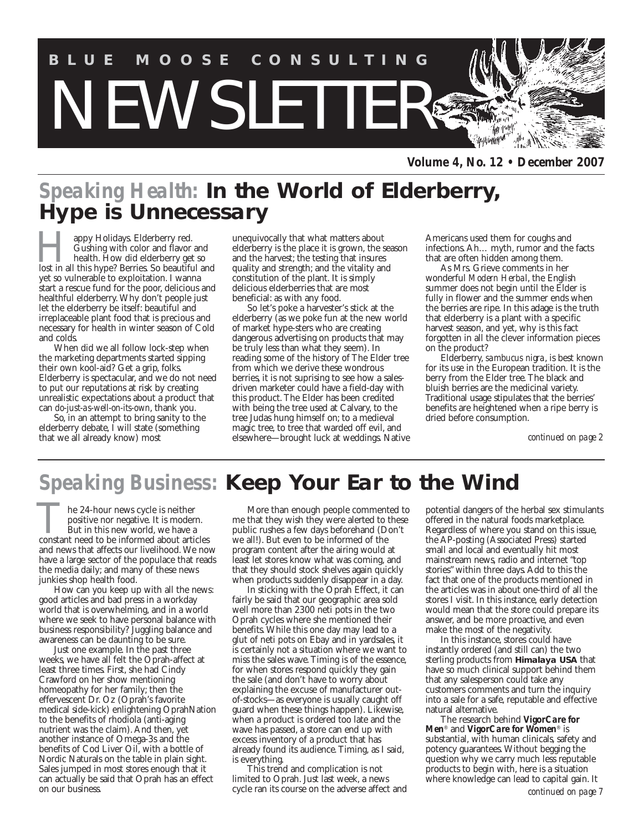

*Volume 4, No. 12 • December 2007*

# *Speaking Health:* **In the World of Elderberry, Hype is Unnecessary**

appy Holidays. Elderberry red. Gushing with color and flavor and health. How did elderberry get so **lost in all this hype?** Berries. So beautiful and this hype? Berries. So beautiful and yet so vulnerable to exploitation. I wanna start a rescue fund for the poor, delicious and healthful elderberry. Why don't people just let the elderberry be itself: beautiful and irreplaceable plant food that is precious and necessary for health in winter season of Cold and colds.

When did we all follow lock-step when the marketing departments started sipping their own kool-aid? Get a grip, folks. Elderberry is spectacular, and we do not need to put our reputations at risk by creating unrealistic expectations about a product that can *do-just-as-well-on-its-own*, thank you.

So, in an attempt to bring sanity to the elderberry debate, I will state (something that we all already know) most

unequivocally that what matters about elderberry is the place it is grown, the season and the harvest; the testing that insures quality and strength; and the vitality and constitution of the plant. It is simply delicious elderberries that are most beneficial: as with any food.

So let's poke a harvester's stick at the elderberry (as we poke fun at the new world of market hype-sters who are creating dangerous advertising on products that may be truly less than what they seem). In reading some of the history of The Elder tree from which we derive these wondrous berries, it is not suprising to see how a salesdriven marketer could have a field-day with this product. The Elder has been credited with being the tree used at Calvary, to the tree Judas hung himself on; to a medieval magic tree, to tree that warded off evil, and elsewhere—brought luck at weddings. Native Americans used them for coughs and infections. Ah… myth, rumor and the facts that are often hidden among them.

As Mrs. Grieve comments in her wonderful *Modern Herba*l, the English summer does not begin until the Elder is fully in flower and the summer ends when the berries are ripe. In this adage is the truth that elderberry is a plant with a specific harvest season, and yet, why is this fact forgotten in all the clever information pieces on the product?

Elderberry, *sambucus nigra*, is best known for its use in the European tradition. It is the berry from the Elder tree. The black and bluish berries are the medicinal variety. Traditional usage stipulates that the berries' benefits are heightened when a ripe berry is dried before consumption.

*continued on page 2*

# *Speaking Business:* **Keep Your Ear to the Wind**

he 24-hour news cycle is neither positive nor negative. It is modern. But in this new world, we have a The 24-hour news cycle is neither positive nor negative. It is modern.<br>But in this new world, we have a constant need to be informed about articles and news that affects our livelihood. We now have a large sector of the populace that reads the media daily; and many of these news junkies shop health food.

How can you keep up with all the news: good articles and bad press in a workday world that is overwhelming, and in a world where we seek to have personal balance with business responsibility? Juggling balance and awareness can be daunting to be sure.

Just one example. In the past three weeks, we have all felt the Oprah-affect at least three times. First, she had Cindy Crawford on her show mentioning homeopathy for her family; then the effervescent Dr. Oz (Oprah's favorite medical side-kick) enlightening OprahNation to the benefits of rhodiola (anti-aging nutrient was the claim). And then, yet another instance of Omega-3s and the benefits of Cod Liver Oil, with a bottle of Nordic Naturals on the table in plain sight. Sales jumped in most stores enough that it can actually be said that Oprah has an effect on our business.

More than enough people commented to me that they wish they were alerted to these public rushes a few days beforehand (Don't we all!). But even to be informed of the program content after the airing would at least let stores know what was coming, and that they should stock shelves again quickly when products suddenly disappear in a day.

In sticking with the Oprah Effect, it can fairly be said that our geographic area sold well more than 2300 neti pots in the two Oprah cycles where she mentioned their benefits. While this one day may lead to a glut of neti pots on Ebay and in yardsales, it is certainly not a situation where we want to miss the sales wave. Timing is of the essence, for when stores respond quickly they gain the sale (and don't have to worry about explaining the excuse of manufacturer outof-stocks—as everyone is usually caught off guard when these things happen). Likewise, when a product is ordered too late and the wave has passed, a store can end up with excess inventory of a product that has already found its audience. Timing, as I said, is everything.

This trend and complication is not limited to Oprah. Just last week, a news cycle ran its course on the adverse affect and

potential dangers of the herbal sex stimulants offered in the natural foods marketplace. Regardless of where you stand on this issue, the AP-posting (Associated Press) started small and local and eventually hit most mainstream news, radio and internet "top stories" within three days. Add to this the fact that one of the products mentioned in the articles was in about one-third of all the stores I visit. In this instance, early detection would mean that the store could prepare its answer, and be more proactive, and even make the most of the negativity.

In this instance, stores could have instantly ordered (and still can) the two sterling products from **Himalaya USA** that have so much clinical support behind them that any salesperson could take any customers comments and turn the inquiry into a sale for a safe, reputable and effective natural alternative.

The research behind *VigorCare for Men*® and *VigorCare for Women*® is substantial, with human clinicals, safety and potency guarantees. Without begging the question why we carry much less reputable products to begin with, here is a situation where knowledge can lead to capital gain. It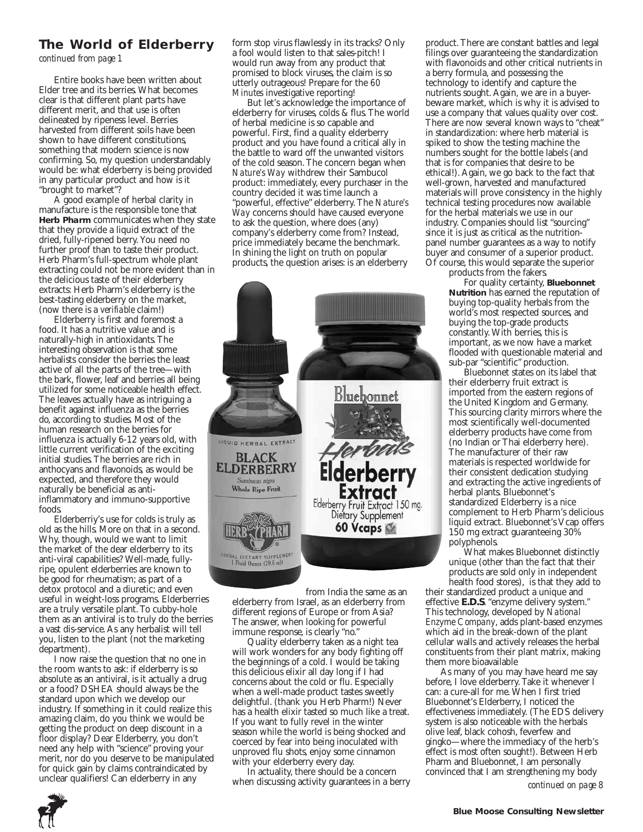## **The World of Elderberry**

*continued from page 1*

Entire books have been written about Elder tree and its berries. What becomes clear is that different plant parts have different merit, and that use is often delineated by ripeness level. Berries harvested from different soils have been shown to have different constitutions, something that modern science is now confirming. So, my question understandably would be: what elderberry is being provided in any particular product and how is it "brought to market"?

A good example of herbal clarity in manufacture is the responsible tone that **Herb Pharm** communicates when they state that they provide a liquid extract of the dried, fully-ripened berry. You need no further proof than to taste their product. Herb Pharm's full-spectrum whole plant extracting could not be more evident than in the delicious taste of their elderberry extracts: Herb Pharm's elderberry is the best-tasting elderberry on the market, (now there is a *verifiable* claim!)

Elderberry is first and foremost a food. It has a nutritive value and is naturally-high in antioxidants. The interesting observation is that some herbalists consider the berries the least active of all the parts of the tree—with the bark, flower, leaf and berries all being utilized for some noticeable health effect. The leaves actually have as intriguing a benefit against influenza as the berries do, according to studies. Most of the human research on the berries for influenza is actually 6-12 years old, with little current verification of the exciting initial studies. The berries are rich in anthocyans and flavonoids, as would be expected, and therefore they would naturally be beneficial as antiinflammatory and immuno-supportive foods.

Elderberriy's use for colds is truly as old as the hills. More on that in a second. Why, though, would we want to limit the market of the dear elderberry to its anti-viral capabilities? Well-made, fullyripe, opulent elderberries are known to be good for rheumatism; as part of a detox protocol and a diuretic; and even useful in weight-loss programs. Elderberries are a truly versatile plant. To cubby-hole them as an antiviral is to truly do the berries a vast dis-service. As any herbalist will tell you, listen to the plant (not the marketing department).

I now raise the question that no one in the room wants to ask: if elderberry is so absolute as an antiviral, is it actually a drug or a food? DSHEA should always be the standard upon which we develop our industry. If something in it could realize this amazing claim, do you think we would be getting the product on deep discount in a floor display? Dear Elderberry, you don't need any help with "science" proving your merit, nor do you deserve to be manipulated for quick gain by claims contraindicated by unclear qualifiers! Can elderberry in any

form stop virus flawlessly in its tracks? Only a fool would listen to that sales-pitch! I would run away from any product that promised to block viruses, the claim is so utterly outrageous! Prepare for the *60 Minutes* investigative reporting!

But let's acknowledge the importance of elderberry for viruses, colds & flus. The world of herbal medicine is so capable and powerful. First, find a quality elderberry product and you have found a critical ally in the battle to ward off the unwanted visitors of the cold season. The concern began when *Nature's Way* withdrew their Sambucol product: immediately, every purchaser in the country decided it was time launch a "powerful, effective" elderberry. The *Nature's Way* concerns should have caused everyone to ask the question, where does (any) company's elderberry come from? Instead, price immediately became the benchmark. In shining the light on truth on popular products, the question arises: is an elderberry



from India the same as an elderberry from Israel, as an elderberry from different regions of Europe or from Asia? The answer, when looking for powerful immune response, is clearly "no."

Quality elderberry taken as a night tea will work wonders for any body fighting off the beginnings of a cold. I would be taking this delicious elixir all day long if I had concerns about the cold or flu. Especially when a well-made product tastes sweetly delightful. (thank you Herb Pharm!) Never has a health elixir tasted so much like a treat. If you want to fully revel in the winter season while the world is being shocked and coerced by fear into being inoculated with unproved flu shots, enjoy some cinnamon with your elderberry every day.

In actuality, there should be a concern when discussing activity guarantees in a berry

product. There are constant battles and legal filings over guaranteeing the standardization with flavonoids and other critical nutrients in a berry formula, and possessing the technology to identify and capture the nutrients sought. Again, we are in a buyerbeware market, which is why it is advised to use a company that values quality over cost. There are now several known ways to "cheat" in standardization: where herb material is spiked to show the testing machine the numbers sought for the bottle labels (and that is for companies that desire to be ethical!). Again, we go back to the fact that well-grown, harvested and manufactured materials will prove consistency in the highly technical testing procedures now available for the herbal materials we use in our industry. Companies should list "sourcing" since it is just as critical as the nutritionpanel number guarantees as a way to notify buyer and consumer of a superior product. Of course, this would separate the superior

products from the fakers.

For quality certainty, **Bluebonnet Nutrition** has earned the reputation of buying top-quality herbals from the world's most respected sources, and buying the top-grade products constantly. With berries, this is important, as we now have a market flooded with questionable material and sub-par "scientific" production.

Bluebonnet states on its label that their elderberry fruit extract is imported from the eastern regions of the United Kingdom and Germany. This sourcing clarity mirrors where the most scientifically well-documented elderberry products have come from (no Indian or Thai elderberry here). The manufacturer of their raw materials is respected worldwide for their consistent dedication studying and extracting the active ingredients of herbal plants. Bluebonnet's standardized Elderberry is a nice complement to Herb Pharm's delicious liquid extract. Bluebonnet's Vcap offers 150 mg extract guaranteeing 30% polyphenols.

What makes Bluebonnet distinctly unique (other than the fact that their products are sold only in independent health food stores), is that they add to

their standardized product a unique and effective **E.D.S**. "enzyme delivery system." This technology, developed by *National Enzyme Company*, adds plant-based enzymes which aid in the break-down of the plant cellular walls and actively releases the herbal constituents from their plant matrix, making them more bioavailable

As many of you may have heard me say before, I love elderberry. Take it whenever I can: a cure-all for me. When I first tried Bluebonnet's Elderberry, I noticed the effectiveness immediately. (The EDS delivery system is also noticeable with the herbals olive leaf, black cohosh, feverfew and gingko—where the immediacy of the herb's effect is most often sought!). Between Herb Pharm and Bluebonnet, I am personally convinced that I am strengthening my body



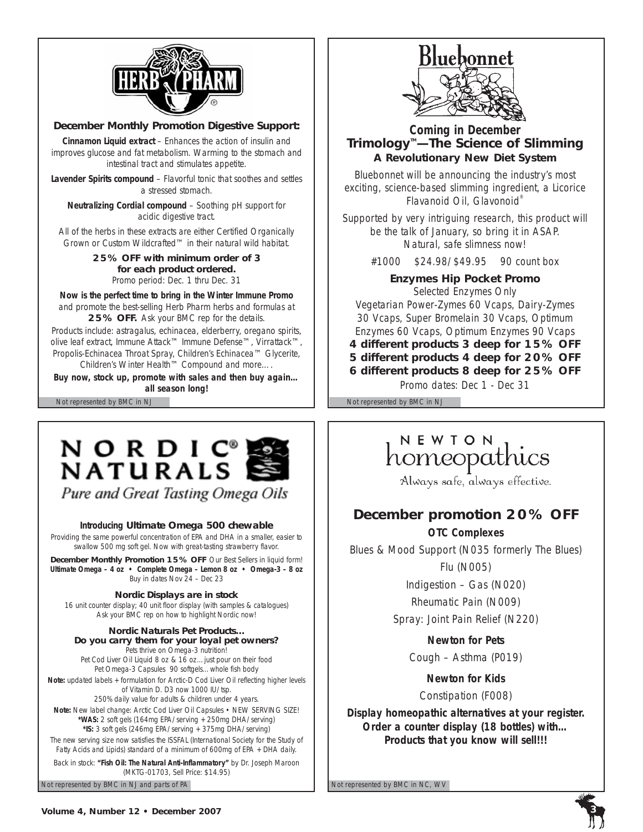

### **December Monthly Promotion Digestive Support:**

**Cinnamon Liquid extract** – Enhances the action of insulin and improves glucose and fat metabolism. Warming to the stomach and intestinal tract and stimulates appetite.

**Lavender Spirits compound** – Flavorful tonic that soothes and settles a stressed stomach.

**Neutralizing Cordial compound** – Soothing pH support for acidic digestive tract.

All of the herbs in these extracts are either Certified Organically Grown or Custom Wildcrafted™ in their natural wild habitat.

> **25% OFF with minimum order of 3 for each product ordered.** *Promo period: Dec. 1 thru Dec. 31*

**Now is the perfect time to bring in the Winter Immune Promo** and promote the best-selling Herb Pharm herbs and formulas at **25% OFF.** Ask your BMC rep for the details.

Products include: astragalus, echinacea, elderberry, oregano spirits, olive leaf extract, *Immune Attack™ Immune Defense™, Virrattack™*, Propolis-Echinacea Throat Spray, *Children's Echinacea™* Glycerite, *Children's Winter Health™ Compound* and more….

*Buy now, stock up, promote with sales and then buy again… all season long!*

# NORDIC® NATURALS

Pure and Great Tasting Omega Oils

*Introducing* **Ultimate Omega 500 chewable**

Providing the same powerful concentration of EPA and DHA in a smaller, easier to swallow 500 mg soft gel. Now with great-tasting strawberry flavor.

**December Monthly Promotion 15% OFF** Our Best Sellers in liquid form! **Ultimate Omega – 4 oz • Complete Omega – Lemon 8 oz • Omega-3 – 8 oz** *Buy in dates Nov 24 – Dec 23*

### **Nordic Displays are in stock**

16 unit counter display; 40 unit floor display (with samples & catalogues) *Ask your BMC rep on how to highlight Nordic now!*

**Nordic Naturals Pet Products… Do you carry them for your loyal pet owners?** Pets thrive on Omega-3 nutrition! Pet Cod Liver Oil Liquid 8 oz & 16 oz…just pour on their food Pet Omega-3 Capsules 90 softgels…whole fish body *Note:* updated labels + formulation for Arctic-D Cod Liver Oil reflecting higher levels of Vitamin D. D3 now 1000 IU/tsp. 250% daily value for adults & children under 4 years. *Note:* New label change: Arctic Cod Liver Oil Capsules • NEW SERVING SIZE! *\*WAS:* 2 soft gels (164mg EPA/serving + 250mg DHA/serving) *\*IS:* 3 soft gels (246mg EPA/serving + 375mg DHA/serving) The new serving size now satisfies the ISSFAL (International Society for the Study of Fatty Acids and Lipids) standard of a minimum of 600mg of EPA + DHA daily. Back in stock: **"Fish Oil: The Natural Anti-Inflammatory"** by Dr. Joseph Maroon (MKTG-01703, Sell Price: \$14.95)



### *Coming in December* **Trimology<sup>™</sup>—The Science of Slimming A Revolutionary New Diet System**

Bluebonnet will be announcing the industry's most exciting, science-based slimming ingredient, a Licorice Flavanoid Oil, Glavonoid®

Supported by very intriguing research, this product will be the talk of January, so bring it in ASAP. Natural, safe slimness now!

#1000 \$24.98/\$49.95 90 count box

**Enzymes Hip Pocket Promo**

*Selected Enzymes Only* Vegetarian Power-Zymes 60 Vcaps, Dairy-Zymes 30 Vcaps, Super Bromelain 30 Vcaps, Optimum Enzymes 60 Vcaps, Optimum Enzymes 90 Vcaps

**4 different products 3 deep for 15% OFF 5 different products 4 deep for 20% OFF 6 different products 8 deep for 25% OFF**

*Promo dates: Dec 1 - Dec 31*

Not represented by BMC in NJ Not represented by BMC in NJ

# NEWTON homeopathics

Always safe, always effective.

# **December promotion 20% OFF**

**OTC Complexes**

Blues & Mood Support (N035 formerly The Blues)

Flu (N005)

Indigestion – Gas (N020)

Rheumatic Pain (N009)

Spray: Joint Pain Relief (N220)

**Newton for Pets**

Cough – Asthma (P019)

**Newton for Kids** Constipation (F008)

*Display homeopathic alternatives at your register. Order a counter display (18 bottles) with… Products that you know will sell!!!*

Not represented by BMC in NJ and parts of PA Not represented by BMC in NC, WV

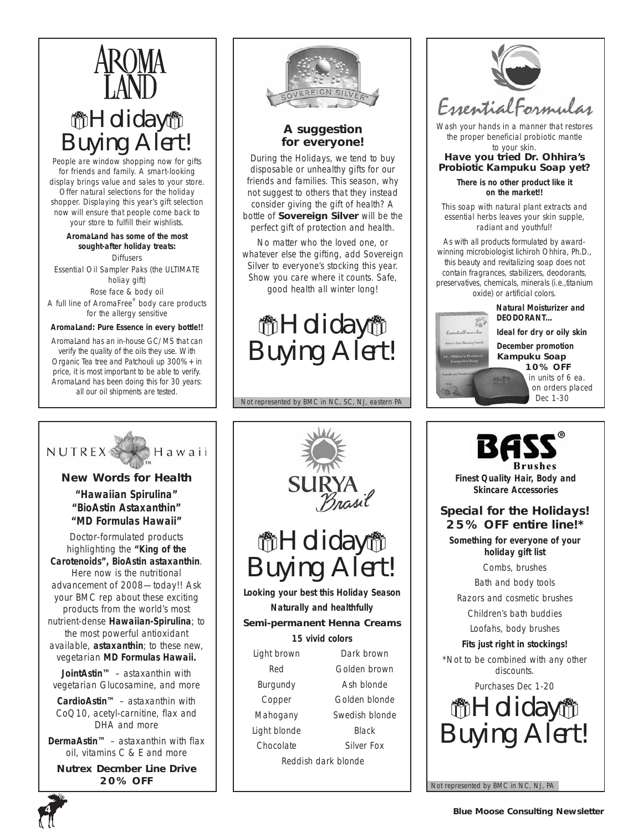

People are window shopping now for gifts for friends and family. A smart-looking display brings value and sales to your store. Offer natural selections for the holiday shopper. Displaying this year's gift selection now will ensure that people come back to your store to fulfill their wishlists.

**AromaLand has some of the most sought-after holiday treats: Diffusers** Essential Oil Sampler Paks (the ULTIMATE holiay gift) Rose face & body oil A full line of AromaFree® body care products for the allergy sensitive

### *AromaLand: Pure Essence in every bottle!!*

AromaLand has an in-house GC/MS that can verify the quality of the oils they use. With Organic Tea tree and Patchouli up 300% + in price, it is most important to be able to verify. AromaLand has been doing this for 30 years: all our oil shipments are tested.



## **A suggestion for everyone!**

During the Holidays, we tend to buy disposable or unhealthy gifts for our friends and families. This season, why not suggest to others that they instead consider giving the gift of health? A bottle of **Sovereign Silver** will be the perfect gift of protection and health.

No matter who the loved one, or whatever else the gifting, add Sovereign Silver to everyone's stocking this year. Show you care where it counts. Safe, good health all winter long!



Not represented by BMC in NC, SC, NJ, eastern PA

希*Holiday*者

*Buying Alert!*

**Looking your best this Holiday Season Naturally and healthfully Semi-permanent Henna Creams**  *15 vivid colors* Light brown Dark brown Red Golden brown Burgundy Ash blonde Copper Golden blonde Mahogany Swedish blonde Light blonde Black Chocolate Silver Fox Reddish dark blonde



*Wash your hands in a manner that restores the proper beneficial probiotic mantle to your skin.*

*Have you tried Dr. Ohhira's Probiotic Kampuku Soap yet?*

> **There is no other product like it on the market!!**

This soap with natural plant extracts and essential herbs leaves your skin supple, radiant and youthful!

As with all products formulated by awardwinning microbiologist Iichiroh Ohhira, Ph.D., this beauty and revitalizing soap does not contain fragrances, stabilizers, deodorants, preservatives, chemicals, minerals (i.e.,titanium oxide) or artificial colors.

> **Natural Moisturizer and DEODORANT…**

**Ideal for dry or oily skin**

*December promotion* **Kampuku Soap** 

**10% OFF** *in units of 6 ea. on orders placed*





## **Special for the Holidays! 25% OFF entire line!\***

*Something for everyone of your holiday gift list*

Combs, brushes

Bath and body tools

Razors and cosmetic brushes

Children's bath buddies Loofahs, body brushes

*Fits just right in stockings! \*Not to be combined with any other discounts.* 

*Purchases Dec 1-20*



Not represented by BMC in NC, NJ, PA



### *"Hawaiian Spirulina" "BioAstin Astaxanthin" "MD Formulas Hawaii"*

Doctor-formulated products highlighting the **"King of the Carotenoids", BioAstin astaxanthin**. Here now is the nutritional advancement of 2008—today!! Ask your BMC rep about these exciting products from the world's most nutrient-dense **Hawaiian-Spirulina**; to the most powerful antioxidant available, **astaxanthin**; to these new, vegetarian **MD Formulas Hawaii.**

**JointAstin™** – astaxanthin with vegetarian Glucosamine, and more

**CardioAstin™** – astaxanthin with CoQ10, acetyl-carnitine, flax and DHA and more

**DermaAstin™** – astaxanthin with flax oil, vitamins C & E and more

**Nutrex Decmber Line Drive 20% OFF**

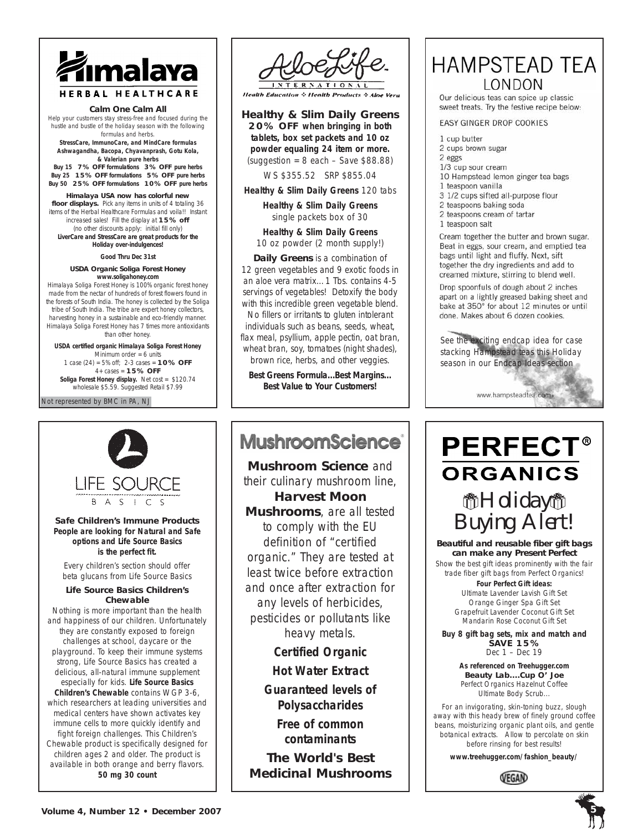

#### **Calm One Calm All**

Help your customers stay stress-free and focused during the hustle and bustle of the holiday season with the following formulas and herbs.

**StressCare, ImmunoCare, and MindCare formulas Ashwagandha, Bacopa, Chyavanprash, Gotu Kola, & Valerian pure herbs**

**Buy 15 7% OFF formulations 3% OFF pure herbs Buy 25 15% OFF formulations 5% OFF pure herbs Buy 50 25% OFF formulations 10% OFF pure herbs**

**Himalaya USA now has colorful new floor displays.** Pick any items in units of 4 totaling 36 items of the Herbal Healthcare Formulas and voila!! Instant increased sales! Fill the display at **15% off**  (no other discounts apply: initial fill only) *LiverCare and StressCare are great products for the Holiday over-indulgences!*

*Good Thru Dec 31st*

#### **USDA Organic Soliga Forest Honey www.soligahoney.com**

Himalaya Soliga Forest Honey is 100% organic forest honey made from the nectar of hundreds of forest flowers found in the forests of South India. The honey is collected by the Soliga tribe of South India. The tribe are expert honey collectors, harvesting honey in a sustainable and eco-friendly manner. Himalaya Soliga Forest Honey has 7 times more antioxidants than other honey.

**USDA certified organic Himalaya Soliga Forest Honey**  Minimum order  $= 6$  units 1 case (24) = 5% off; 2-3 cases = **10% OFF**  4+ cases = **15% OFF Soliga Forest Honey display.** Net cost = \$120.74 wholesale \$5.59. Suggested Retail \$7.99

#### Not represented by BMC in PA, NJ



### **Safe Children's Immune Products** *People are looking for Natural and Safe options and Life Source Basics is the perfect fit.*

Every children's section should offer beta glucans from Life Source Basics

### **Life Source Basics Children's Chewable**

Nothing is more important than the health and happiness of our children. Unfortunately they are constantly exposed to foreign challenges at school, daycare or the playground. To keep their immune systems strong, Life Source Basics has created a delicious, all-natural immune supplement especially for kids. **Life Source Basics Children's Chewable** contains WGP 3-6, which researchers at leading universities and medical centers have shown activates key immune cells to more quickly identify and fight foreign challenges. This Children's Chewable product is specifically designed for children ages 2 and older. The product is available in both orange and berry flavors. **50 mg 30 count**



**Health Education & Health Products & Aloe Vera** 

### **Healthy & Slim Daily Greens**

**20% OFF when bringing in both tablets, box set packets and 10 oz powder equaling 24 item or more.**  $(suggestion = 8 each - Save $88.88)$ 

WS \$355.52 SRP \$855.04

**Healthy & Slim Daily Greens** 120 tabs

**Healthy & Slim Daily Greens** single packets box of 30

**Healthy & Slim Daily Greens** 10 oz powder (2 month supply!)

**Daily Greens** is a combination of 12 green vegetables and 9 exotic foods in an aloe vera matrix…1 Tbs. contains 4-5 servings of vegetables! Detoxify the body with this incredible green vegetable blend. No fillers or irritants to gluten intolerant individuals such as beans, seeds, wheat, flax meal, psyllium, apple pectin, oat bran, wheat bran, soy, tomatoes (night shades), brown rice, herbs, and other veggies.

*Best Greens Formula...Best Margins... Best Value to Your Customers!*

# MushroomScience<sup>®</sup>

**Mushroom Science** and their culinary mushroom line, **Harvest Moon Mushrooms**, are all tested to comply with the EU definition of "certified organic." They are tested at least twice before extraction and once after extraction for any levels of herbicides, pesticides or pollutants like heavy metals.

**Certified Organic**

**Hot Water Extract**

**Guaranteed levels of Polysaccharides**

> **Free of common contaminants**

*The World's Best Medicinal Mushrooms*

# **HAMPSTEAD TEA** LONDON

Our delicious teas can spice up classic sweet treats. Try the festive recipe below:

EASY GINGER DROP COOKIES

- 1 cup butter
- 2 cups brown sugar
- 2 eggs
- 1/3 cup sour cream
- 10 Hampstead lemon ginger tea bags
- 1 teaspoon vanilla
- 3 1/2 cups sifted all-purpose flour
- 2 teaspoons baking soda
- 2 teaspoons cream of tartar
- 1 teaspoon salt

Cream together the butter and brown sugar. Beat in eggs, sour cream, and emptied tea bags until light and fluffy. Next, sift together the dry ingredients and add to creamed mixture, stirring to blend well.

Drop spoonfuls of dough about 2 inches apart on a lightly greased baking sheet and bake at 350° for about 12 minutes or until done. Makes about 6 dozen cookies.

See the exciting endcap idea for case stacking Hampstead teas this Holiday season in our Endcap Ideas section



# **PERFECT® ORGANICS** a*Holiday*a

*Buying Alert!* **Beautiful and reusable fiber gift bags can make any Present Perfect**

*Show the best gift ideas prominently with the fair trade fiber gift bags from Perfect Organics!*

**Four Perfect Gift ideas:** Ultimate Lavender Lavish Gift Set Orange Ginger Spa Gift Set Grapefruit Lavender Coconut Gift Set Mandarin Rose Coconut Gift Set

**Buy 8 gift bag sets, mix and match and SAVE 15%** *Dec 1 – Dec 19*

> *As referenced on Treehugger.com* **Beauty Lab....Cup O' Joe** Perfect Organics Hazelnut Coffee Ultimate Body Scrub...

For an invigorating, skin-toning buzz, slough away with this heady brew of finely ground coffee beans, moisturizing organic plant oils, and gentle botanical extracts. Allow to percolate on skin before rinsing for best results!

**www.treehugger.com/fashion\_beauty/**



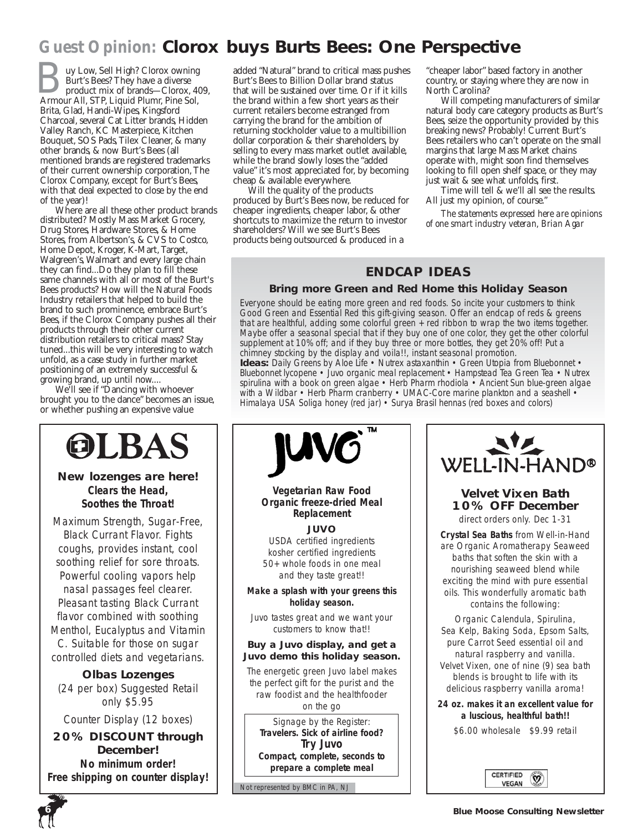# *Guest Opinion:* **Clorox buys Burts Bees: One Perspective**

uy Low, Sell High? Clorox owning Burt's Bees? They have a diverse product mix of brands—Clorox, 409, **Armour All, STP, Liquid Plumr, Pine Sol, Armour All, STP, Liquid Plumr, Pine Sol,** Brita, Glad, Handi-Wipes, Kingsford Charcoal, several Cat Litter brands, Hidden Valley Ranch, KC Masterpiece, Kitchen Bouquet, SOS Pads, Tilex Cleaner, & many other brands, & now Burt's Bees (all mentioned brands are registered trademarks of their current ownership corporation, The Clorox Company, except for Burt's Bees, with that deal expected to close by the end of the year)!

Where are all these other product brands distributed? Mostly Mass Market Grocery, Drug Stores, Hardware Stores, & Home Stores, from Albertson's, & CVS to Costco, Home Depot, Kroger, K-Mart, Target, Walgreen's, Walmart and every large chain they can find...Do they plan to fill these same channels with all or most of the Burt's Bees products? How will the Natural Foods Industry retailers that helped to build the brand to such prominence, embrace Burt's Bees, if the Clorox Company pushes all their products through their other current distribution retailers to critical mass? Stay tuned...this will be very interesting to watch unfold, as a case study in further market positioning of an extremely successful & growing brand, up until now....

We'll see if "Dancing with whoever brought you to the dance" becomes an issue, or whether pushing an expensive value



**New lozenges are here! Clears the Head, Soothes the Throat!**

Maximum Strength, Sugar-Free, Black Currant Flavor. Fights coughs, provides instant, cool soothing relief for sore throats. Powerful cooling vapors help nasal passages feel clearer. Pleasant tasting Black Currant flavor combined with soothing Menthol, Eucalyptus and Vitamin C. Suitable for those on sugar controlled diets and vegetarians.

**Olbas Lozenges** (24 per box) Suggested Retail only \$5.95

Counter Display (12 boxes)

**20% DISCOUNT through December!**  *No minimum order! Free shipping on counter display!*

added "Natural" brand to critical mass pushes Burt's Bees to Billion Dollar brand status that will be sustained over time. Or if it kills the brand within a few short years as their current retailers become estranged from carrying the brand for the ambition of returning stockholder value to a multibillion dollar corporation & their shareholders, by selling to every mass market outlet available, while the brand slowly loses the "added value" it's most appreciated for, by becoming cheap & available everywhere.

Will the quality of the products produced by Burt's Bees now, be reduced for cheaper ingredients, cheaper labor, & other shortcuts to maximize the return to investor shareholders? Will we see Burt's Bees products being outsourced & produced in a

"cheaper labor" based factory in another country, or staying where they are now in North Carolina?

Will competing manufacturers of similar natural body care category products as Burt's Bees, seize the opportunity provided by this breaking news? Probably! Current Burt's Bees retailers who can't operate on the small margins that large Mass Market chains operate with, might soon find themselves looking to fill open shelf space, or they may just wait & see what unfolds, first.

Time will tell & we'll all see the results. All just my opinion, of course."

*The statements expressed here are opinions of one smart industry veteran, Brian Agar*

## **ENDCAP IDEAS**

### **Bring more Green and Red Home this Holiday Season**

Everyone should be eating more green and red foods. So incite your customers to think Good Green and Essential Red this gift-giving season. Offer an endcap of reds & greens that are healthful, adding some colorful green + red ribbon to wrap the two items together. Maybe offer a seasonal special that if they buy one of one color, they get the other colorful supplement at 10% off; and if they buy three or more bottles, they get 20% off! Put a chimney stocking by the display and *voila!!,* instant seasonal promotion. Ideas: Daily Greens by Aloe Life · Nutrex astaxanthin · Green Utopia from Bluebonnet · Bluebonnet lycopene • Juvo organic meal replacement • Hampstead Tea Green Tea • Nutrex spirulina with a book on green algae • Herb Pharm rhodiola • Ancient Sun blue-green algae with a Wildbar • Herb Pharm cranberry • UMAC-Core marine plankton and a seashell •

Himalaya USA Soliga honey (red jar) • Surya Brasil hennas (red boxes and colors)





# **Velvet Vixen Bath 10% OFF December**

*direct orders only. Dec 1-31*

**Crystal Sea Baths** from Well-in-Hand are Organic Aromatherapy Seaweed baths that soften the skin with a nourishing seaweed blend while exciting the mind with pure essential oils. This wonderfully aromatic bath contains the following:

Organic Calendula, Spirulina, Sea Kelp, Baking Soda, Epsom Salts, pure Carrot Seed essential oil and natural raspberry and vanilla. Velvet Vixen, one of nine (9) sea bath blends is brought to life with its delicious raspberry vanilla aroma!

**24 oz. makes it an excellent value for a luscious, healthful bath!!**

\$6.00 wholesale \$9.99 retail



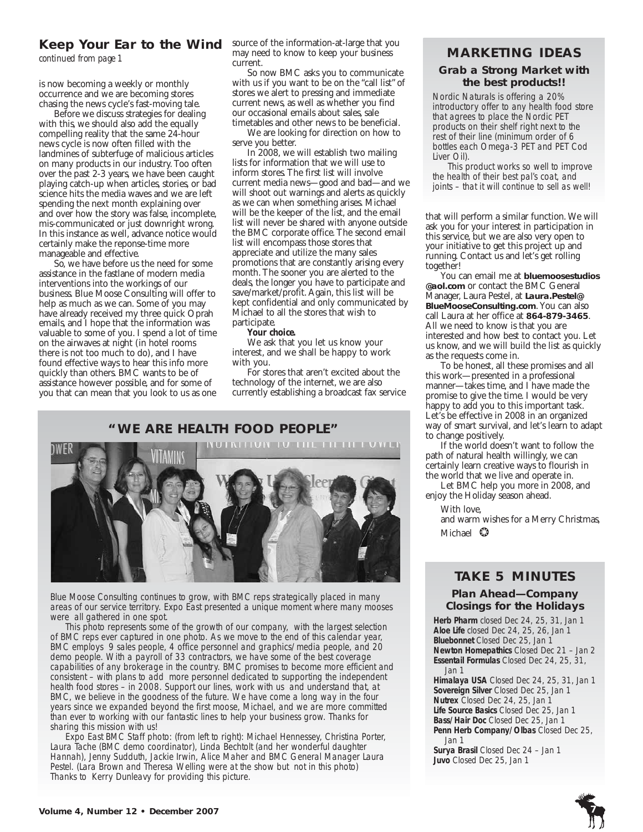## **Keep Your Ear to the Wind** source of the information-at-large that you

*continued from page 1*

is now becoming a weekly or monthly occurrence and we are becoming stores chasing the news cycle's fast-moving tale.

Before we discuss strategies for dealing with this, we should also add the equally compelling reality that the same 24-hour news cycle is now often filled with the landmines of subterfuge of malicious articles on many products in our industry. Too often over the past 2-3 years, we have been caught playing catch-up when articles, stories, or bad science hits the media waves and we are left spending the next month explaining over and over how the story was false, incomplete, mis-communicated or just downright wrong. In this instance as well, advance notice would certainly make the reponse-time more manageable and effective.

So, we have before us the need for some assistance in the fastlane of modern media interventions into the workings of our business. Blue Moose Consulting will offer to help as much as we can. Some of you may have already received my three quick Oprah emails, and I hope that the information was valuable to some of you. I spend a lot of time on the airwaves at night (in hotel rooms there is not too much to do), and I have found effective ways to hear this info more quickly than others. BMC wants to be of assistance however possible, and for some of you that can mean that you look to us as one may need to know to keep your business current.

So now BMC asks you to communicate with us if you want to be on the "call list" of stores we alert to pressing and immediate current news, as well as whether you find our occasional emails about sales, sale timetables and other news to be beneficial.

We are looking for direction on how to serve you better.

In 2008, we will establish two mailing lists for information that we will use to inform stores. The first list will involve current media news—good and bad—and we will shoot out warnings and alerts as quickly as we can when something arises. Michael will be the keeper of the list, and the email list will never be shared with anyone outside the BMC corporate office. The second email list will encompass those stores that appreciate and utilize the many sales promotions that are constantly arising every month. The sooner you are alerted to the deals, the longer you have to participate and save/market/profit. Again, this list will be kept confidential and only communicated by Michael to all the stores that wish to participate.

### *Your choice.*

We ask that you let us know your interest, and we shall be happy to work with you.

For stores that aren't excited about the technology of the internet, we are also currently establishing a broadcast fax service

### **"WE ARE HEALTH FOOD PEOPLE"**



Blue Moose Consulting continues to grow, with BMC reps strategically placed in many areas of our service territory. Expo East presented a unique moment where many mooses were all gathered in one spot.

This photo represents some of the growth of our company, with the largest selection of BMC reps ever captured in one photo. As we move to the end of this calendar year, BMC employs 9 sales people, 4 office personnel and graphics/media people, and 20 demo people. With a payroll of 33 contractors, we have some of the best coverage capabilities of any brokerage in the country. BMC promises to become more efficient and consistent – with plans to add more personnel dedicated to supporting the independent health food stores – in 2008. Support our lines, work with us and understand that, at BMC, we believe in the goodness of the future. We have come a long way in the four years since we expanded beyond the first moose, Michael, and we are more committed than ever to working with our fantastic lines to help your business grow. Thanks for sharing this mission with us!

Expo East BMC Staff photo: (from left to right): Michael Hennessey, Christina Porter, Laura Tache (BMC demo coordinator), Linda Bechtolt (and her wonderful daughter Hannah), Jenny Sudduth, Jackie Irwin, Alice Maher and BMC General Manager Laura Pestel. (Lara Brown and Theresa Welling were at the show but not in this photo) Thanks to Kerry Dunleavy for providing this picture.

### **MARKETING IDEAS**

### **Grab a Strong Market with the best products!!**

Nordic Naturals is offering a 20% introductory offer to any health food store that agrees to place the Nordic PET products on their shelf right next to the rest of their line (minimum order of 6 bottles each Omega-3 PET and PET Cod Liver Oil).

This product works so well to improve the health of their best pal's coat, and joints – that it will continue to sell as well!

that will perform a similar function. We will ask you for your interest in participation in this service, but we are also very open to your initiative to get this project up and running. Contact us and let's get rolling together!

You can email me at **bluemoosestudios @aol.com** or contact the BMC General Manager, Laura Pestel, at **Laura.Pestel@ BlueMooseConsulting.com**. You can also call Laura at her office at **864-879-3465**. All we need to know is that you are interested and how best to contact you. Let us know, and we will build the list as quickly as the requests come in.

To be honest, all these promises and all this work—presented in a professional manner—takes time, and I have made the promise to give the time. I would be very happy to add you to this important task. Let's be effective in 2008 in an organized way of smart survival, and let's learn to adapt to change positively.

If the world doesn't want to follow the path of natural health willingly, we can certainly learn creative ways to flourish in the world that we live and operate in.

Let BMC help you more in 2008, and enjoy the Holiday season ahead.

With love,

and warm wishes for a Merry Christmas, Michael ❂

# **TAKE 5 MINUTES**

### **Plan Ahead—Company Closings for the Holidays**

**Herb Pharm** closed Dec 24, 25, 31, Jan 1 **Aloe Life** closed Dec 24, 25, 26, Jan 1 **Bluebonnet** Closed Dec 25, Jan 1 **Newton Homepathics** Closed Dec 21 – Jan 2 **Essentail Formulas** Closed Dec 24, 25, 31, Jan 1

**Himalaya USA** Closed Dec 24, 25, 31, Jan 1 **Sovereign Silver** Closed Dec 25, Jan 1 **Nutrex** Closed Dec 24, 25, Jan 1 **Life Source Basics** Closed Dec 25, Jan 1 **Bass/Hair Doc** Closed Dec 25, Jan 1 **Penn Herb Company/Olbas** Closed Dec 25, Jan 1

**Surya Brasil** Closed Dec 24 – Jan 1 **Juvo** Closed Dec 25, Jan 1